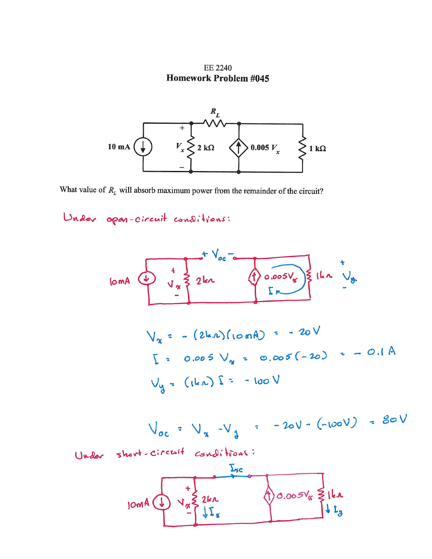**EE 2240 Homework Problem #045** 



What value of  $R_L$  will absorb maximum power from the remainder of the circuit?

Under open-circuit conditions:

100000 V

\n1.1 
$$
\frac{1}{\sqrt{x}} = 2kx
$$

\n1.2  $\frac{1}{\sqrt{x}} = 2kx$ 

\n1.3  $\frac{1}{\sqrt{x}} = -2kx$ 

\n1.4  $\frac{1}{\sqrt{x}}$ 

\n1.5  $\frac{1}{\sqrt{x}}$ 

\n1.6  $\frac{1}{\sqrt{x}}$ 

\n1.7  $\frac{1}{\sqrt{x}}$ 

\n1.8  $\frac{1}{\sqrt{x}}$ 

\n1.9  $\frac{1}{\sqrt{x}}$ 

\n1.1  $\frac{1}{\sqrt{x}}$ 

\n1.1  $\frac{1}{\sqrt{x}}$ 

\n1.1  $\frac{1}{\sqrt{x}}$ 

\n1.1  $\frac{1}{\sqrt{x}}$ 

\n1.1  $\frac{1}{\sqrt{x}}$ 

\n1.2  $\frac{1}{\sqrt{x}}$ 

\n1.3  $\frac{1}{\sqrt{x}}$ 

\n1.4  $\frac{1}{\sqrt{x}}$ 

\n1.5  $\frac{1}{\sqrt{x}}$ 

\n1.6  $\frac{1}{\sqrt{x}}$ 

\n1.7  $\frac{1}{\sqrt{x}}$ 

\n1.8  $\frac{1}{\sqrt{x}}$ 

\n1.9  $\frac{1}{\sqrt{x}}$ 

\n1.1  $\frac{1}{\sqrt{x}}$ 

\n1.1  $\frac{1}{\sqrt{x}}$ 

\n1.1  $\frac{1}{\sqrt{x}}$ 

\n1.2  $\frac{1}{\sqrt{x}}$ 

\n1.3  $\frac{1}{\sqrt{x}}$ 

\n1.4  $\frac{1}{\sqrt{x}}$ 

\n1.5  $\frac{1}{\sqrt{x}}$ 

\n1.6  $\frac{1}{\sqrt{x}}$ 

\n1.7  $\frac{1}{\sqrt{x}}$ 

\n1.8  $\frac{1}{\sqrt{x}}$ 

\n1.9  $\frac{1}{\sqrt{x}}$ 

\n1.1  $\frac{1}{\sqrt{x}}$ 

\n1.1  $\frac{1}{\sqrt{x}}$ 

\